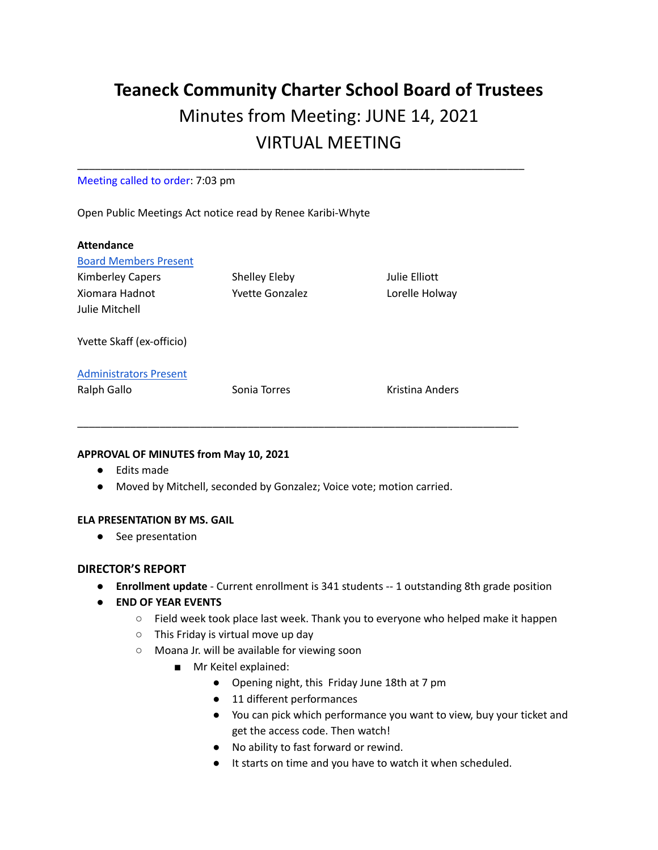# **Teaneck Community Charter School Board of Trustees** Minutes from Meeting: JUNE 14, 2021 VIRTUAL MEETING

\_\_\_\_\_\_\_\_\_\_\_\_\_\_\_\_\_\_\_\_\_\_\_\_\_\_\_\_\_\_\_\_\_\_\_\_\_\_\_\_\_\_\_\_\_\_\_\_\_\_\_\_\_\_\_\_\_\_\_\_\_\_\_\_\_\_\_\_\_\_\_\_\_\_\_\_

#### Meeting called to order: 7:03 pm

Open Public Meetings Act notice read by Renee Karibi-Whyte

| <b>Attendance</b>             |                        |                 |
|-------------------------------|------------------------|-----------------|
| <b>Board Members Present</b>  |                        |                 |
| <b>Kimberley Capers</b>       | Shelley Eleby          | Julie Elliott   |
| Xiomara Hadnot                | <b>Yvette Gonzalez</b> | Lorelle Holway  |
| Julie Mitchell                |                        |                 |
| Yvette Skaff (ex-officio)     |                        |                 |
| <b>Administrators Present</b> |                        |                 |
| Ralph Gallo                   | Sonia Torres           | Kristina Anders |
|                               |                        |                 |

# **APPROVAL OF MINUTES from May 10, 2021**

- Edits made
- Moved by Mitchell, seconded by Gonzalez; Voice vote; motion carried.

#### **ELA PRESENTATION BY MS. GAIL**

**●** See presentation

#### **DIRECTOR'S REPORT**

- **Enrollment update** Current enrollment is 341 students -- 1 outstanding 8th grade position
- **END OF YEAR EVENTS**
	- Field week took place last week. Thank you to everyone who helped make it happen
	- This Friday is virtual move up day
	- Moana Jr. will be available for viewing soon
		- Mr Keitel explained:
			- Opening night, this Friday June 18th at 7 pm
			- 11 different performances
			- You can pick which performance you want to view, buy your ticket and get the access code. Then watch!
			- No ability to fast forward or rewind.
			- It starts on time and you have to watch it when scheduled.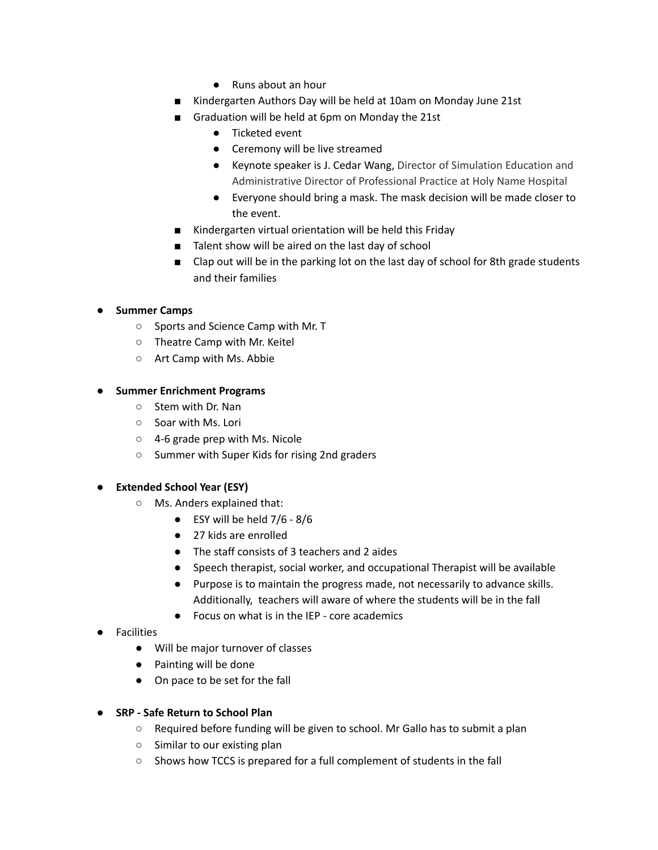- Runs about an hour
- Kindergarten Authors Day will be held at 10am on Monday June 21st
- Graduation will be held at 6pm on Monday the 21st
	- Ticketed event
	- Ceremony will be live streamed
	- Keynote speaker is J. Cedar Wang, Director of Simulation Education and Administrative Director of Professional Practice at Holy Name Hospital
	- Everyone should bring a mask. The mask decision will be made closer to the event.
- Kindergarten virtual orientation will be held this Friday
- Talent show will be aired on the last day of school
- Clap out will be in the parking lot on the last day of school for 8th grade students and their families

# **● Summer Camps**

- **○** Sports and Science Camp with Mr. T
- **○** Theatre Camp with Mr. Keitel
- **○** Art Camp with Ms. Abbie

#### **● Summer Enrichment Programs**

- **○** Stem with Dr. Nan
- **○** Soar with Ms. Lori
- **○** 4-6 grade prep with Ms. Nicole
- **○** Summer with Super Kids for rising 2nd graders

#### **● Extended School Year (ESY)**

- **○** Ms. Anders explained that:
	- $\bullet$  ESY will be held 7/6 8/6
	- 27 kids are enrolled
	- The staff consists of 3 teachers and 2 aides
	- Speech therapist, social worker, and occupational Therapist will be available
	- Purpose is to maintain the progress made, not necessarily to advance skills. Additionally, teachers will aware of where the students will be in the fall
	- Focus on what is in the IEP core academics
- **●** Facilities
	- Will be major turnover of classes
	- Painting will be done
	- On pace to be set for the fall
- **● SRP - Safe Return to School Plan**
	- **○** Required before funding will be given to school. Mr Gallo has to submit a plan
	- **○** Similar to our existing plan
	- **○** Shows how TCCS is prepared for a full complement of students in the fall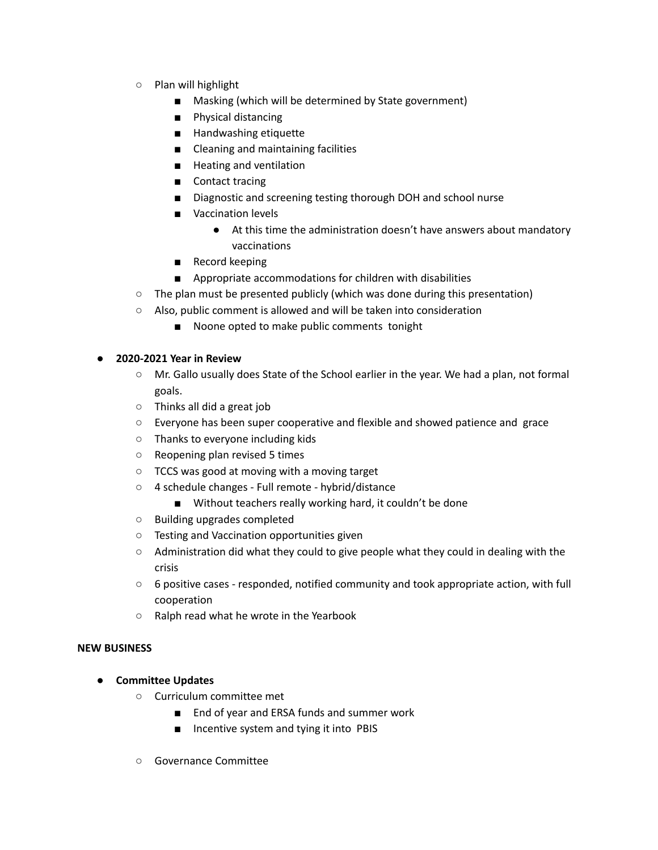- **○** Plan will highlight
	- Masking (which will be determined by State government)
	- **■** Physical distancing
	- Handwashing etiquette
	- Cleaning and maintaining facilities
	- Heating and ventilation
	- Contact tracing
	- Diagnostic and screening testing thorough DOH and school nurse
	- Vaccination levels
		- **●** At this time the administration doesn't have answers about mandatory vaccinations
	- Record keeping
	- Appropriate accommodations for children with disabilities
- **○** The plan must be presented publicly (which was done during this presentation)
- **○** Also, public comment is allowed and will be taken into consideration
	- Noone opted to make public comments tonight

#### **● 2020-2021 Year in Review**

- **○** Mr. Gallo usually does State of the School earlier in the year. We had a plan, not formal goals.
- **○** Thinks all did a great job
- **○** Everyone has been super cooperative and flexible and showed patience and grace
- **○** Thanks to everyone including kids
- **○** Reopening plan revised 5 times
- **○** TCCS was good at moving with a moving target
- **○** 4 schedule changes Full remote hybrid/distance
	- Without teachers really working hard, it couldn't be done
- **○** Building upgrades completed
- **○** Testing and Vaccination opportunities given
- **○** Administration did what they could to give people what they could in dealing with the crisis
- **○** 6 positive cases responded, notified community and took appropriate action, with full cooperation
- **○** Ralph read what he wrote in the Yearbook

#### **NEW BUSINESS**

- **Committee Updates**
	- Curriculum committee met
		- End of year and ERSA funds and summer work
		- Incentive system and tying it into PBIS
	- Governance Committee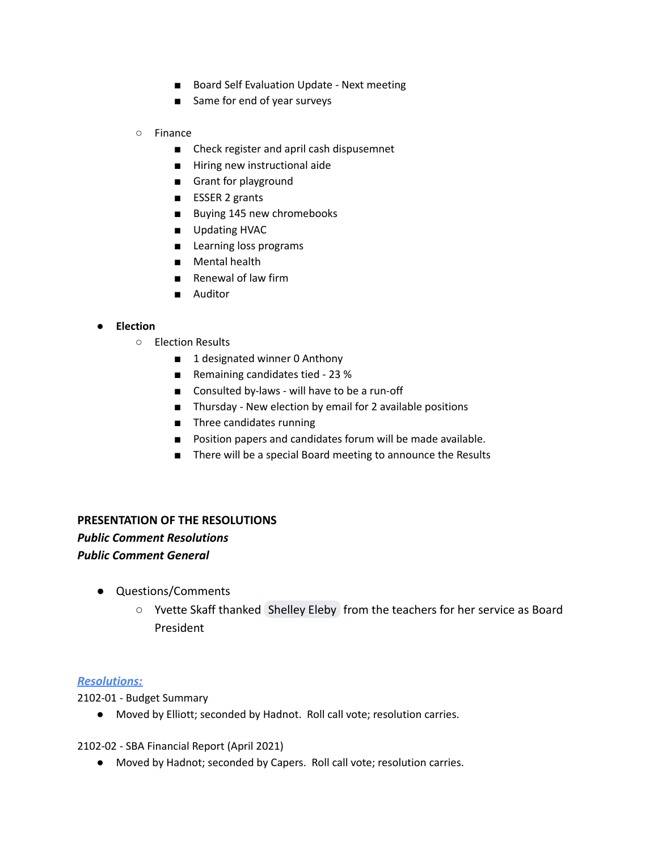- Board Self Evaluation Update Next meeting
- Same for end of year surveys

#### ○ Finance

- Check register and april cash dispusemnet
- Hiring new instructional aide
- Grant for playground
- ESSER 2 grants
- Buying 145 new chromebooks
- Updating HVAC
- Learning loss programs
- Mental health
- Renewal of law firm
- Auditor

# **● Election**

- **○** Election Results
	- 1 designated winner 0 Anthony
	- Remaining candidates tied 23 %
	- Consulted by-laws will have to be a run-off
	- Thursday New election by email for 2 available positions
	- **■** Three candidates running
	- Position papers and candidates forum will be made available.
	- There will be a special Board meeting to announce the Results

# **PRESENTATION OF THE RESOLUTIONS** *Public Comment Resolutions Public Comment General*

- Questions/Comments
	- Yvette Skaff thanked [Shelley Eleby](mailto:seleby@tccsnj.org) from the teachers for her service as Board President

# *Resolutions:*

2102-01 - Budget Summary

● Moved by Elliott; seconded by Hadnot. Roll call vote; resolution carries.

2102-02 - SBA Financial Report (April 2021)

● Moved by Hadnot; seconded by Capers. Roll call vote; resolution carries.